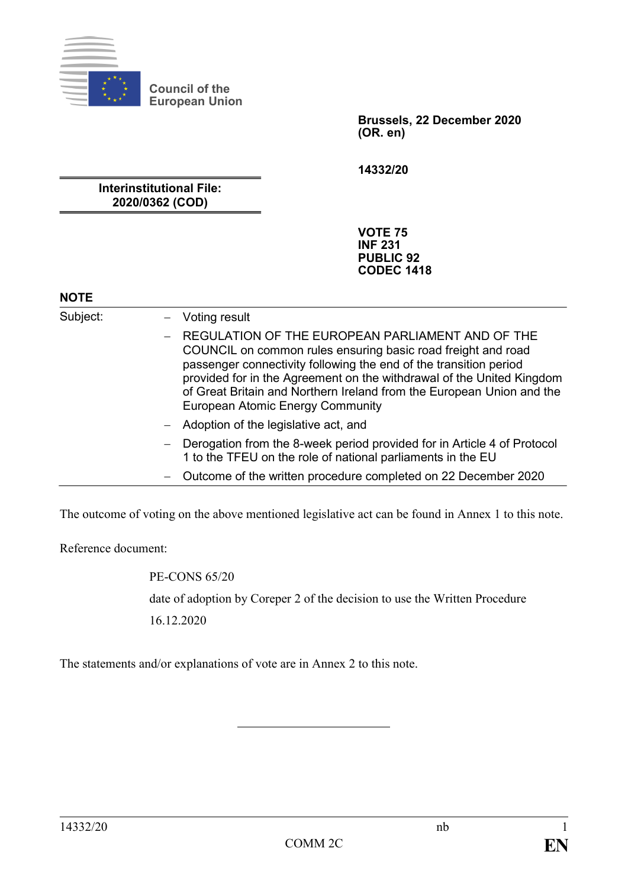

**Council of the European Union**

> **Brussels, 22 December 2020 (OR. en)**

**14332/20**

**Interinstitutional File: 2020/0362 (COD)**

> **VOTE 75 INF 231 PUBLIC 92 CODEC 1418**

## **NOTE**

Subject: – Voting result  $-$  REGULATION OF THE EUROPEAN PARLIAMENT AND OF THE COUNCIL on common rules ensuring basic road freight and road passenger connectivity following the end of the transition period provided for in the Agreement on the withdrawal of the United Kingdom of Great Britain and Northern Ireland from the European Union and the European Atomic Energy Community ‒ Adoption of the legislative act, and - Derogation from the 8-week period provided for in Article 4 of Protocol 1 to the TFEU on the role of national parliaments in the EU ‒ Outcome of the written procedure completed on 22 December 2020

The outcome of voting on the above mentioned legislative act can be found in Annex 1 to this note.

Reference document:

PE-CONS 65/20 date of adoption by Coreper 2 of the decision to use the Written Procedure 16.12.2020

The statements and/or explanations of vote are in Annex 2 to this note.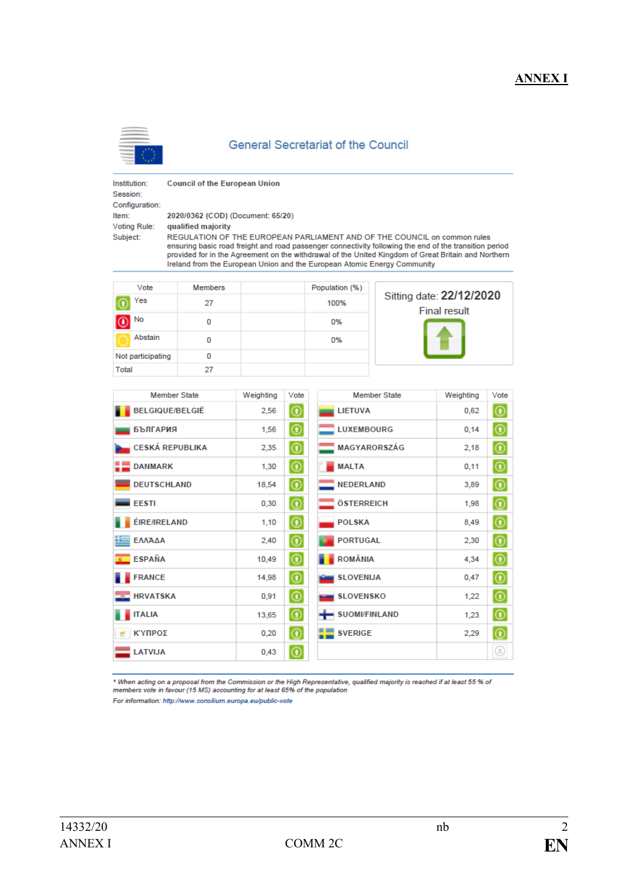## **ANNEX I**



#### **General Secretariat of the Council**

Institution: Session: Configuration: Subject:

**Council of the European Union** 

2020/0362 (COD) (Document: 65/20) Item: Voting Rule:

qualified majority REGULATION OF THE EUROPEAN PARLIAMENT AND OF THE COUNCIL on common rules ensuring basic road freight and road passenger connectivity following the end of the transition period provided for in the Agreement on the withdrawal of the United Kingdom of Great Britain and Northern Ireland from the European Union and the European Atomic Energy Community

| Vote                     | <b>Members</b> | Population (%) |                                                 |  |
|--------------------------|----------------|----------------|-------------------------------------------------|--|
| Yes                      | 27             | 100%           | Sitting date: 22/12/2020<br><b>Final result</b> |  |
| $\overline{\bigodot}$ No | 0              | 0%             |                                                 |  |
| Abstain                  | 0              | 0%             |                                                 |  |
| Not participating        | 0              |                |                                                 |  |
| Total                    | 27             |                |                                                 |  |

| <b>Member State</b>                            | Weighting | Vote                                                    | <b>Member State</b>   | Weighting | Vote               |
|------------------------------------------------|-----------|---------------------------------------------------------|-----------------------|-----------|--------------------|
| <b>BELGIQUE/BELGIË</b>                         | 2,56      | $  \text{\o}  $                                         | <b>LIETUVA</b>        | 0.62      | $\circledcirc$     |
| <b>БЪЛГАРИЯ</b>                                | 1,56      | $  \circledast$                                         | <b>LUXEMBOURG</b>     | 0,14      | $\circledcirc$     |
| <b>CESKÁ REPUBLIKA</b>                         | 2,35      | $  \circledcirc  $                                      | <b>MAGYARORSZÁG</b>   | 2,18      | $\circledcirc$     |
| <b>DANMARK</b>                                 | 1,30      | $\overline{\circ}$                                      | <b>MALTA</b>          | 0,11      | $\overline{\circ}$ |
| <b>DEUTSCHLAND</b>                             | 18,54     | $  \circledcirc  $                                      | <b>NEDERLAND</b>      | 3,89      | $\circledcirc$     |
| <b>EESTI</b>                                   | 0,30      | $\circledcirc$                                          | <b>ÖSTERREICH</b>     | 1,98      | $\circledcirc$     |
| <b>ÉIRE/IRELAND</b>                            | 1,10      | $  \text{\o}  $                                         | <b>POLSKA</b>         | 8,49      | $\circledcirc$     |
| ΕΛΛΆΔΑ                                         | 2,40      | $  \text{\o}  $                                         | <b>PORTUGAL</b>       | 2,30      | $\circledcirc$     |
| <b>ESPAÑA</b><br>$\mathcal{R}^{\mathcal{C}}$ . | 10,49     | $  \text{\textcircled{\char'42}}$                       | <b>ROMÂNIA</b>        | 4,34      | $\circledcirc$     |
| <b>FRANCE</b>                                  | 14,98     | $  \text{\o}  $                                         | <b>SLOVENIJA</b>      | 0,47      | $  \text{\O}$      |
| <b>HRVATSKA</b>                                | 0,91      | $  \circledcirc$                                        | <b>SLOVENSKO</b>      | 1,22      | $\circledcirc$     |
| <b>ITALIA</b>                                  | 13,65     | $\circledcirc$                                          | SUOMI/FINLAND         | 1,23      | $  \circledcirc$   |
| ΚΎΠΡΟΣ                                         | 0,20      | $  \textcolor{red}{\textcircled{\scriptscriptstyle 0}}$ | $\frac{1}{2}$ SVERIGE | 2,29      | $\circledcirc$     |
| <b>LATVIJA</b>                                 | 0,43      | $  \circledcirc$                                        |                       |           | $\circledR$        |

\* When acting on a proposal from the Commission or the High Representative, qualified majority is reached if at least 55 % of<br>members vote in favour (15 MS) accounting for at least 65% of the population

For information: http://www.consilium.europa.eu/public-vote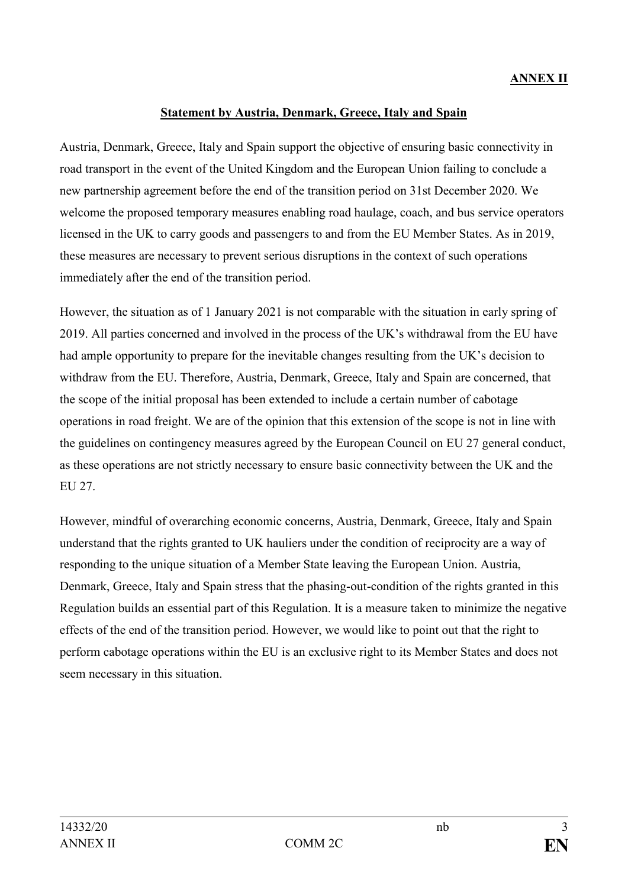# **ANNEX II**

### **Statement by Austria, Denmark, Greece, Italy and Spain**

Austria, Denmark, Greece, Italy and Spain support the objective of ensuring basic connectivity in road transport in the event of the United Kingdom and the European Union failing to conclude a new partnership agreement before the end of the transition period on 31st December 2020. We welcome the proposed temporary measures enabling road haulage, coach, and bus service operators licensed in the UK to carry goods and passengers to and from the EU Member States. As in 2019, these measures are necessary to prevent serious disruptions in the context of such operations immediately after the end of the transition period.

However, the situation as of 1 January 2021 is not comparable with the situation in early spring of 2019. All parties concerned and involved in the process of the UK's withdrawal from the EU have had ample opportunity to prepare for the inevitable changes resulting from the UK's decision to withdraw from the EU. Therefore, Austria, Denmark, Greece, Italy and Spain are concerned, that the scope of the initial proposal has been extended to include a certain number of cabotage operations in road freight. We are of the opinion that this extension of the scope is not in line with the guidelines on contingency measures agreed by the European Council on EU 27 general conduct, as these operations are not strictly necessary to ensure basic connectivity between the UK and the EU 27.

However, mindful of overarching economic concerns, Austria, Denmark, Greece, Italy and Spain understand that the rights granted to UK hauliers under the condition of reciprocity are a way of responding to the unique situation of a Member State leaving the European Union. Austria, Denmark, Greece, Italy and Spain stress that the phasing-out-condition of the rights granted in this Regulation builds an essential part of this Regulation. It is a measure taken to minimize the negative effects of the end of the transition period. However, we would like to point out that the right to perform cabotage operations within the EU is an exclusive right to its Member States and does not seem necessary in this situation.